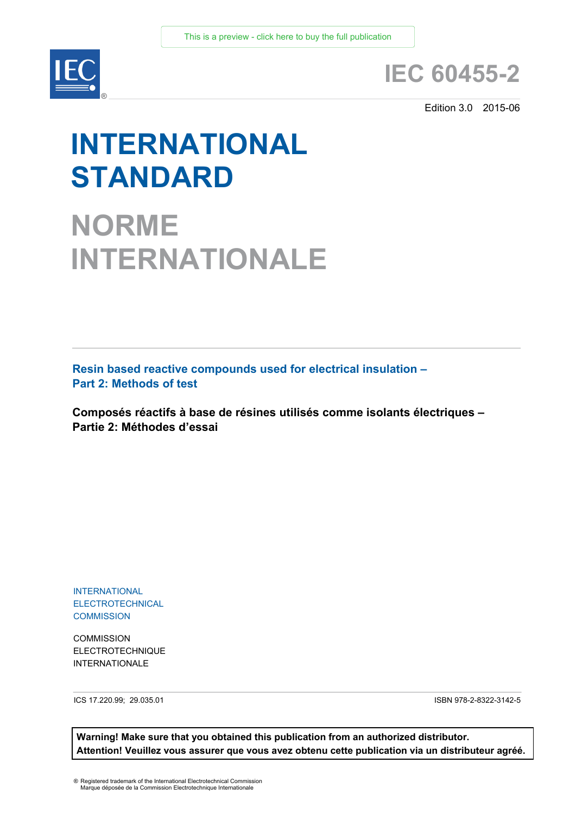

# **IEC 60455-2**

Edition 3.0 2015-06

# **INTERNATIONAL STANDARD**

**NORME INTERNATIONALE**

**Resin based reactive compounds used for electrical insulation – Part 2: Methods of test**

**Composés réactifs à base de résines utilisés comme isolants électriques – Partie 2: Méthodes d'essai**

INTERNATIONAL ELECTROTECHNICAL **COMMISSION** 

**COMMISSION** ELECTROTECHNIQUE INTERNATIONALE

ICS 17.220.99; 29.035.01 ISBN 978-2-8322-3142-5

**Warning! Make sure that you obtained this publication from an authorized distributor. Attention! Veuillez vous assurer que vous avez obtenu cette publication via un distributeur agréé.**

® Registered trademark of the International Electrotechnical Commission Marque déposée de la Commission Electrotechnique Internationale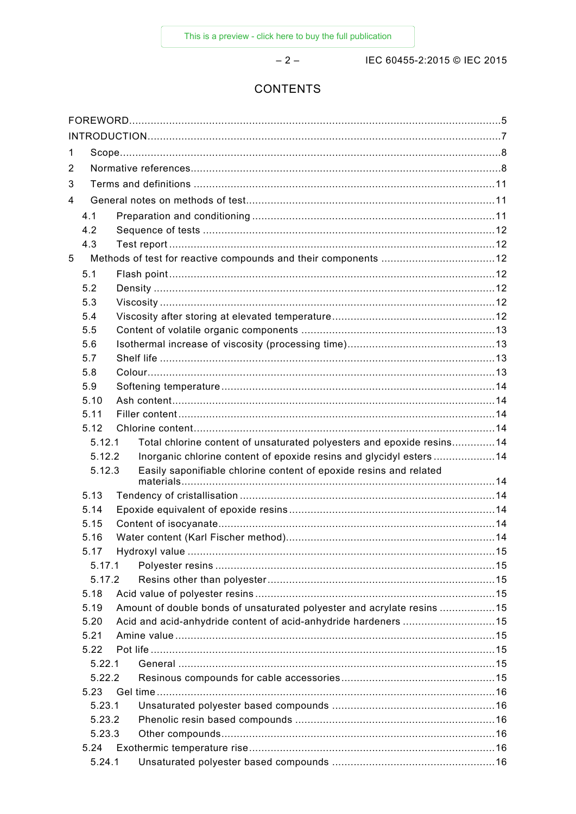$-2-$ 

IEC 60455-2:2015 © IEC 2015

# **CONTENTS**

| 1 |            |                                                                        |  |  |
|---|------------|------------------------------------------------------------------------|--|--|
| 2 |            |                                                                        |  |  |
| 3 |            |                                                                        |  |  |
| 4 |            |                                                                        |  |  |
|   | 4.1        |                                                                        |  |  |
|   | 4.2        |                                                                        |  |  |
|   | 4.3        |                                                                        |  |  |
| 5 |            |                                                                        |  |  |
|   |            |                                                                        |  |  |
|   | 5.1<br>5.2 |                                                                        |  |  |
|   | 5.3        |                                                                        |  |  |
|   | 5.4        |                                                                        |  |  |
|   | 5.5        |                                                                        |  |  |
|   | 5.6        |                                                                        |  |  |
|   | 5.7        |                                                                        |  |  |
|   | 5.8        |                                                                        |  |  |
|   | 5.9        |                                                                        |  |  |
|   | 5.10       |                                                                        |  |  |
|   | 5.11       |                                                                        |  |  |
|   | 5.12       |                                                                        |  |  |
|   | 5.12.1     | Total chlorine content of unsaturated polyesters and epoxide resins 14 |  |  |
|   | 5.12.2     | Inorganic chlorine content of epoxide resins and glycidyl esters 14    |  |  |
|   | 5.12.3     | Easily saponifiable chlorine content of epoxide resins and related     |  |  |
|   |            |                                                                        |  |  |
|   | 5.13       |                                                                        |  |  |
|   | 5.14       |                                                                        |  |  |
|   | 5.15       |                                                                        |  |  |
|   | 5.16       |                                                                        |  |  |
|   | 5.17       |                                                                        |  |  |
|   | 5.17.1     |                                                                        |  |  |
|   | 5.17.2     |                                                                        |  |  |
|   | 5.18       |                                                                        |  |  |
|   | 5.19       | Amount of double bonds of unsaturated polyester and acrylate resins 15 |  |  |
|   | 5.20       | Acid and acid-anhydride content of acid-anhydride hardeners 15         |  |  |
|   | 5.21       |                                                                        |  |  |
|   | 5.22       |                                                                        |  |  |
|   | 5.22.1     |                                                                        |  |  |
|   | 5.22.2     |                                                                        |  |  |
|   | 5.23       |                                                                        |  |  |
|   | 5.23.1     |                                                                        |  |  |
|   | 5.23.2     |                                                                        |  |  |
|   | 5.23.3     |                                                                        |  |  |
|   | 5.24       |                                                                        |  |  |
|   | 5.24.1     |                                                                        |  |  |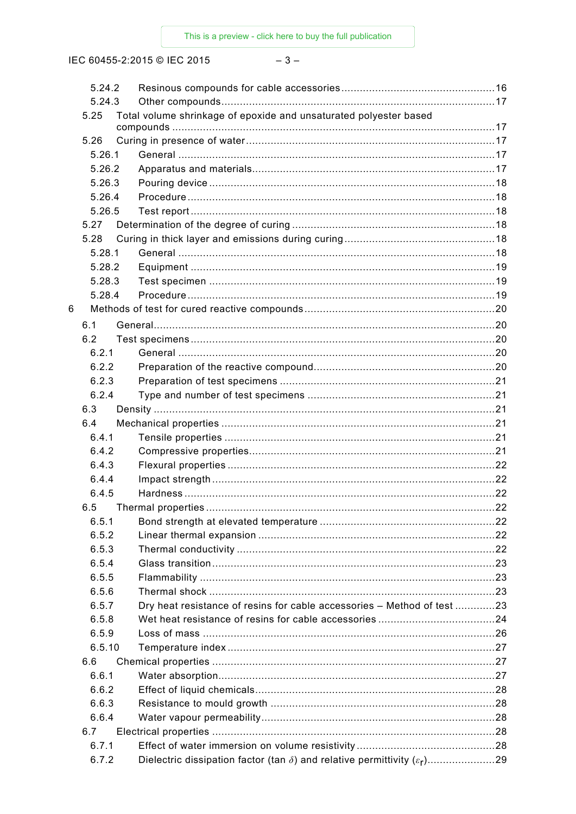IEC 60455-2:2015 © IEC 2015

# $-3-$

|   | 5.24.2 |  |                                                                         |  |
|---|--------|--|-------------------------------------------------------------------------|--|
|   | 5.24.3 |  |                                                                         |  |
|   | 5.25   |  | Total volume shrinkage of epoxide and unsaturated polyester based       |  |
|   | 5.26   |  |                                                                         |  |
|   |        |  |                                                                         |  |
|   | 5.26.1 |  |                                                                         |  |
|   | 5.26.2 |  |                                                                         |  |
|   | 5.26.3 |  |                                                                         |  |
|   | 5.26.4 |  |                                                                         |  |
|   | 5.26.5 |  |                                                                         |  |
|   | 5.27   |  |                                                                         |  |
|   | 5.28   |  |                                                                         |  |
|   | 5.28.1 |  |                                                                         |  |
|   | 5.28.2 |  |                                                                         |  |
|   | 5.28.3 |  |                                                                         |  |
|   | 5.28.4 |  |                                                                         |  |
| 6 |        |  |                                                                         |  |
|   | 6.1    |  |                                                                         |  |
|   | 6.2    |  |                                                                         |  |
|   | 6.2.1  |  |                                                                         |  |
|   | 6.2.2  |  |                                                                         |  |
|   | 6.2.3  |  |                                                                         |  |
|   | 6.2.4  |  |                                                                         |  |
|   | 6.3    |  |                                                                         |  |
|   | 6.4    |  |                                                                         |  |
|   | 6.4.1  |  |                                                                         |  |
|   | 6.4.2  |  |                                                                         |  |
|   | 6.4.3  |  |                                                                         |  |
|   | 6.4.4  |  |                                                                         |  |
|   | 6.4.5  |  |                                                                         |  |
|   |        |  | . 22                                                                    |  |
|   | 6.5.1  |  |                                                                         |  |
|   | 6.5.2  |  |                                                                         |  |
|   | 6.5.3  |  |                                                                         |  |
|   | 6.5.4  |  |                                                                         |  |
|   | 6.5.5  |  |                                                                         |  |
|   | 6.5.6  |  |                                                                         |  |
|   | 6.5.7  |  | Dry heat resistance of resins for cable accessories - Method of test 23 |  |
|   | 6.5.8  |  |                                                                         |  |
|   | 6.5.9  |  |                                                                         |  |
|   | 6.5.10 |  |                                                                         |  |
|   | 6.6    |  |                                                                         |  |
|   | 6.6.1  |  |                                                                         |  |
|   | 6.6.2  |  |                                                                         |  |
|   | 6.6.3  |  |                                                                         |  |
|   | 6.6.4  |  |                                                                         |  |
|   | 6.7    |  |                                                                         |  |
|   | 6.7.1  |  |                                                                         |  |
|   | 6.7.2  |  |                                                                         |  |
|   |        |  |                                                                         |  |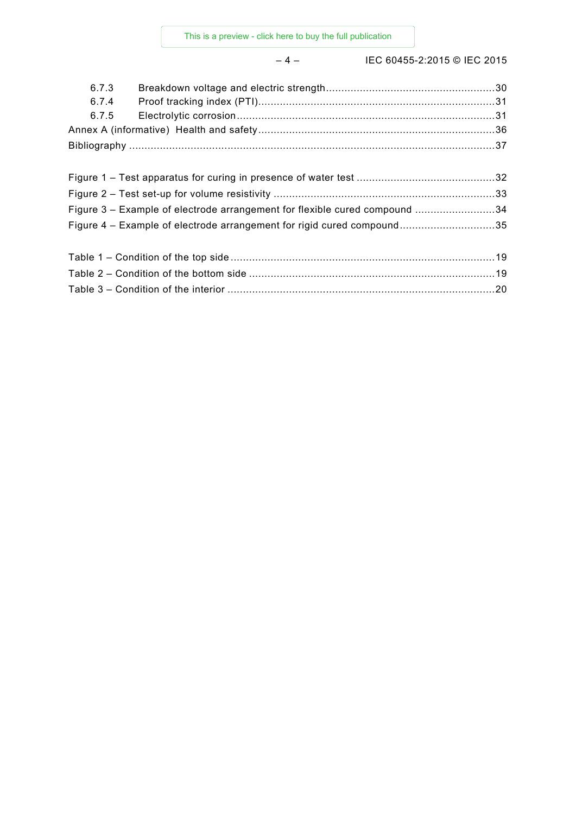– 4 – IEC 60455-2:2015 © IEC 2015

| 6.7.3                                                                  |                                                                            |  |
|------------------------------------------------------------------------|----------------------------------------------------------------------------|--|
| 6.7.4                                                                  |                                                                            |  |
| 6.7.5                                                                  |                                                                            |  |
|                                                                        |                                                                            |  |
|                                                                        |                                                                            |  |
|                                                                        |                                                                            |  |
|                                                                        |                                                                            |  |
|                                                                        |                                                                            |  |
|                                                                        | Figure 3 – Example of electrode arrangement for flexible cured compound 34 |  |
| Figure 4 – Example of electrode arrangement for rigid cured compound35 |                                                                            |  |
|                                                                        |                                                                            |  |
|                                                                        |                                                                            |  |
|                                                                        |                                                                            |  |
|                                                                        |                                                                            |  |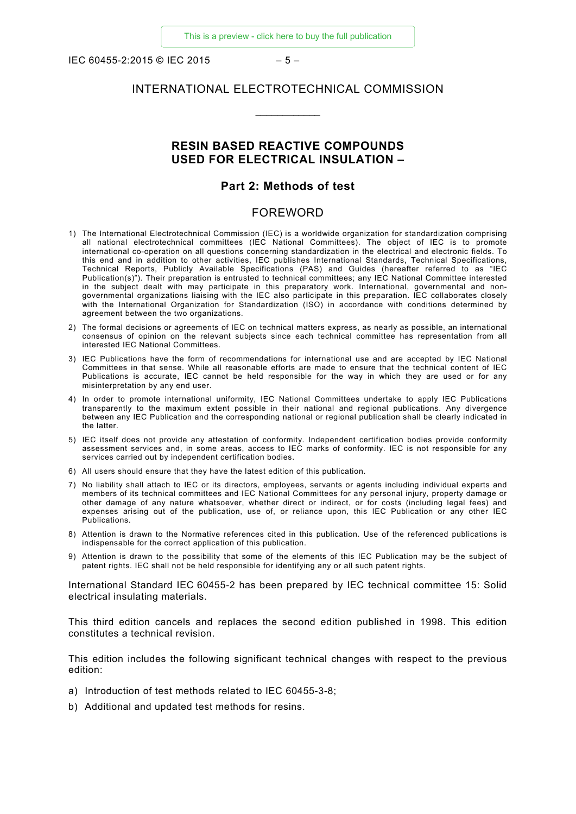IEC 60455-2:2015 © IEC 2015 – 5 –

### INTERNATIONAL ELECTROTECHNICAL COMMISSION

 $\overline{\phantom{a}}$ 

# **RESIN BASED REACTIVE COMPOUNDS USED FOR ELECTRICAL INSULATION –**

#### **Part 2: Methods of test**

#### FOREWORD

- <span id="page-4-0"></span>1) The International Electrotechnical Commission (IEC) is a worldwide organization for standardization comprising all national electrotechnical committees (IEC National Committees). The object of IEC is to promote international co-operation on all questions concerning standardization in the electrical and electronic fields. To this end and in addition to other activities, IEC publishes International Standards, Technical Specifications, Technical Reports, Publicly Available Specifications (PAS) and Guides (hereafter referred to as "IEC Publication(s)"). Their preparation is entrusted to technical committees; any IEC National Committee interested in the subject dealt with may participate in this preparatory work. International, governmental and nongovernmental organizations liaising with the IEC also participate in this preparation. IEC collaborates closely with the International Organization for Standardization (ISO) in accordance with conditions determined by agreement between the two organizations.
- 2) The formal decisions or agreements of IEC on technical matters express, as nearly as possible, an international consensus of opinion on the relevant subjects since each technical committee has representation from all interested IEC National Committees.
- 3) IEC Publications have the form of recommendations for international use and are accepted by IEC National Committees in that sense. While all reasonable efforts are made to ensure that the technical content of IEC Publications is accurate, IEC cannot be held responsible for the way in which they are used or for any misinterpretation by any end user.
- 4) In order to promote international uniformity, IEC National Committees undertake to apply IEC Publications transparently to the maximum extent possible in their national and regional publications. Any divergence between any IEC Publication and the corresponding national or regional publication shall be clearly indicated in the latter.
- 5) IEC itself does not provide any attestation of conformity. Independent certification bodies provide conformity assessment services and, in some areas, access to IEC marks of conformity. IEC is not responsible for any services carried out by independent certification bodies.
- 6) All users should ensure that they have the latest edition of this publication.
- 7) No liability shall attach to IEC or its directors, employees, servants or agents including individual experts and members of its technical committees and IEC National Committees for any personal injury, property damage or other damage of any nature whatsoever, whether direct or indirect, or for costs (including legal fees) and expenses arising out of the publication, use of, or reliance upon, this IEC Publication or any other IEC Publications.
- 8) Attention is drawn to the Normative references cited in this publication. Use of the referenced publications is indispensable for the correct application of this publication.
- 9) Attention is drawn to the possibility that some of the elements of this IEC Publication may be the subject of patent rights. IEC shall not be held responsible for identifying any or all such patent rights.

International Standard IEC 60455-2 has been prepared by IEC technical committee 15: Solid electrical insulating materials.

This third edition cancels and replaces the second edition published in 1998. This edition constitutes a technical revision.

This edition includes the following significant technical changes with respect to the previous edition:

- a) Introduction of test methods related to IEC 60455-3-8;
- b) Additional and updated test methods for resins.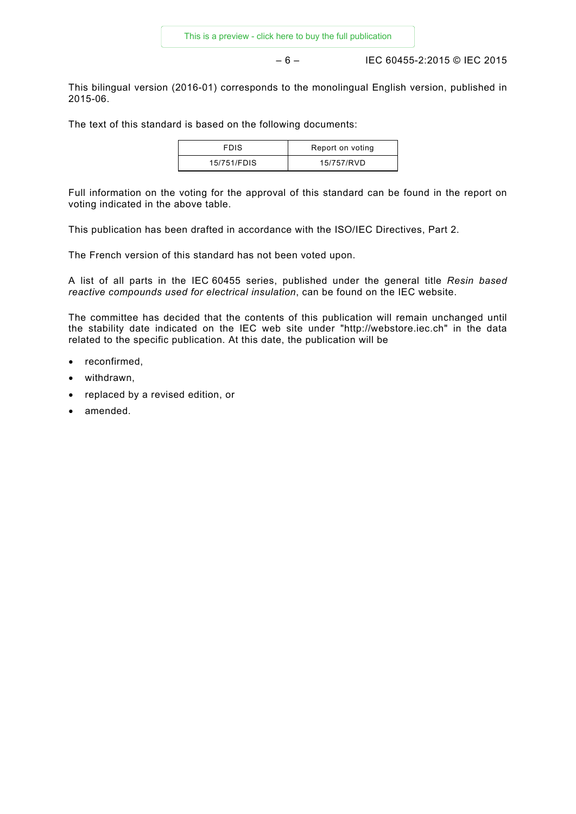– 6 – IEC 60455-2:2015 © IEC 2015

This bilingual version (2016-01) corresponds to the monolingual English version, published in 2015-06.

The text of this standard is based on the following documents:

| <b>FDIS</b> | Report on voting |
|-------------|------------------|
| 15/751/FDIS | 15/757/RVD       |

Full information on the voting for the approval of this standard can be found in the report on voting indicated in the above table.

This publication has been drafted in accordance with the ISO/IEC Directives, Part 2.

The French version of this standard has not been voted upon.

A list of all parts in the IEC 60455 series, published under the general title *Resin based reactive compounds used for electrical insulation*, can be found on the IEC website.

The committee has decided that the contents of this publication will remain unchanged until the stability date indicated on the IEC web site under "http://webstore.iec.ch" in the data related to the specific publication. At this date, the publication will be

- reconfirmed,
- withdrawn.
- replaced by a revised edition, or
- amended.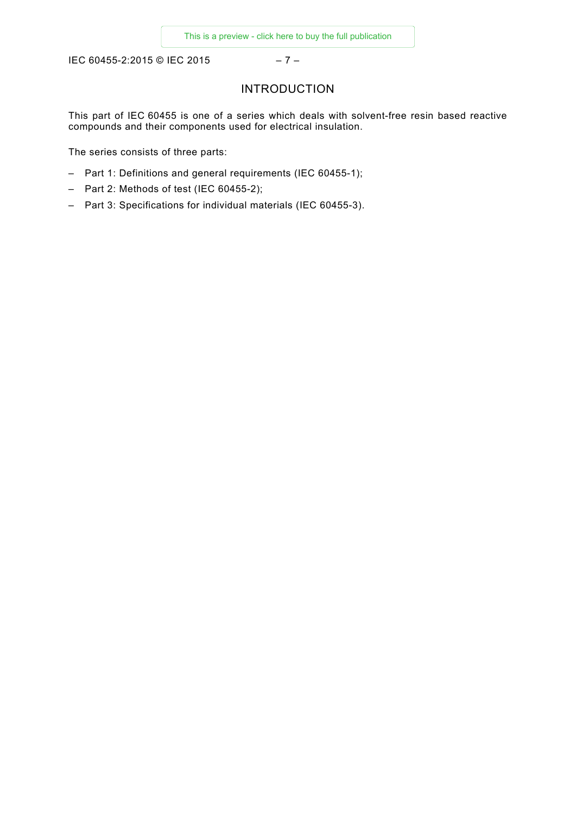<span id="page-6-0"></span>IEC 60455-2:2015 © IEC 2015 – 7 –

# INTRODUCTION

This part of IEC 60455 is one of a series which deals with solvent-free resin based reactive compounds and their components used for electrical insulation.

The series consists of three parts:

- Part 1: Definitions and general requirements (IEC 60455-1);
- Part 2: Methods of test (IEC 60455-2);
- Part 3: Specifications for individual materials (IEC 60455-3).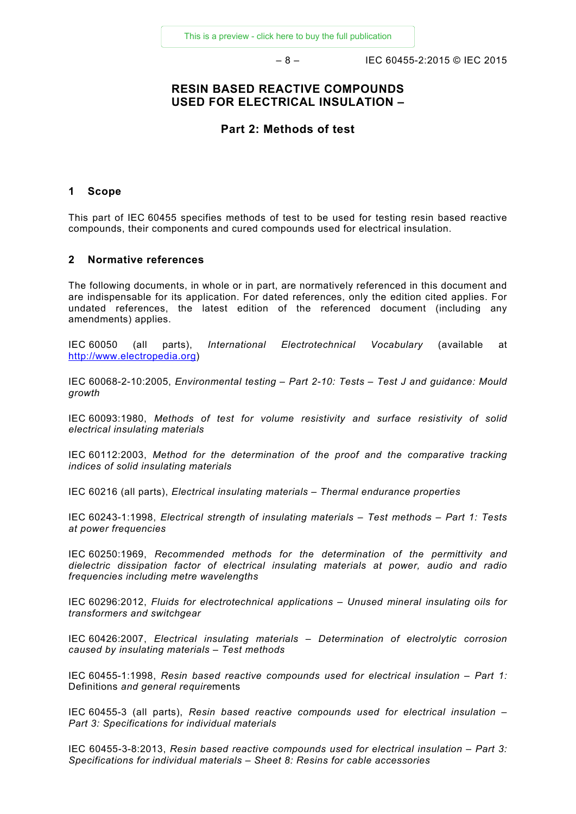– 8 – IEC 60455-2:2015 © IEC 2015

# **RESIN BASED REACTIVE COMPOUNDS USED FOR ELECTRICAL INSULATION –**

# **Part 2: Methods of test**

#### <span id="page-7-0"></span>**1 Scope**

This part of IEC 60455 specifies methods of test to be used for testing resin based reactive compounds, their components and cured compounds used for electrical insulation.

#### <span id="page-7-1"></span>**2 Normative references**

The following documents, in whole or in part, are normatively referenced in this document and are indispensable for its application. For dated references, only the edition cited applies. For undated references, the latest edition of the referenced document (including any amendments) applies.

IEC 60050 (all parts), *International Electrotechnical Vocabulary* (available at [http://www.electropedia.org\)](http://www.electropedia.org/)

IEC 60068-2-10:2005, *Environmental testing – Part 2-10: Tests – Test J and guidance: Mould growth*

IEC 60093:1980, *Methods of test for volume resistivity and surface resistivity of solid electrical insulating materials*

IEC 60112:2003, *Method for the determination of the proof and the comparative tracking indices of solid insulating materials*

IEC 60216 (all parts), *Electrical insulating materials – Thermal endurance properties*

IEC 60243-1:1998, *Electrical strength of insulating materials – Test methods – Part 1: Tests at power frequencies*

IEC 60250:1969, *Recommended methods for the determination of the permittivity and dielectric dissipation factor of electrical insulating materials at power, audio and radio frequencies including metre wavelengths*

IEC 60296:2012, *Fluids for electrotechnical applications – Unused mineral insulating oils for transformers and switchgear*

IEC 60426:2007, *Electrical insulating materials – Determination of electrolytic corrosion caused by insulating materials – Test methods*

IEC 60455-1:1998, *Resin based reactive compounds used for electrical insulation – Part 1:*  Definitions *and general require*ments

IEC 60455-3 (all parts), *Resin based reactive compounds used for electrical insulation – Part 3: Specifications for individual materials*

IEC 60455-3-8:2013, *Resin based reactive compounds used for electrical insulation – Part 3: Specifications for individual materials – Sheet 8: Resins for cable accessories*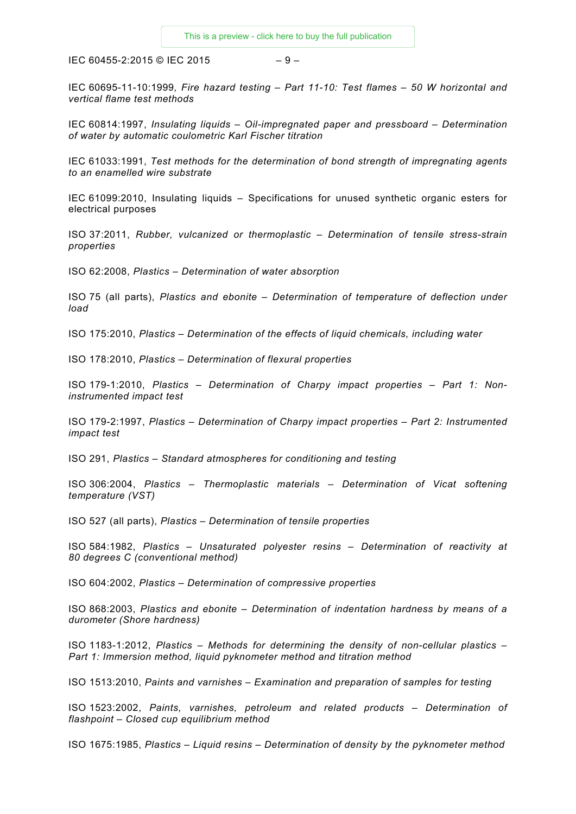IEC 60455-2:2015 © IEC 2015 – 9 –

IEC 60695-11-10:1999*, Fire hazard testing – Part 11-10: Test flames – 50 W horizontal and vertical flame test methods*

IEC 60814:1997, *Insulating liquids – Oil-impregnated paper and pressboard – Determination of water by automatic coulometric Karl Fischer titration*

IEC 61033:1991, *Test methods for the determination of bond strength of impregnating agents to an enamelled wire substrate*

IEC 61099:2010, Insulating liquids – Specifications for unused synthetic organic esters for electrical purposes

ISO 37:2011, *Rubber, vulcanized or thermoplastic – Determination of tensile stress-strain properties*

ISO 62:2008, *Plastics – Determination of water absorption*

ISO 75 (all parts), *Plastics and ebonite – Determination of temperature of deflection under load*

ISO 175:2010, *Plastics – Determination of the effects of liquid chemicals, including water*

ISO 178:2010, *Plastics – Determination of flexural properties*

ISO 179-1:2010, *Plastics – Determination of Charpy impact properties – Part 1: Noninstrumented impact test*

ISO 179-2:1997, *Plastics – Determination of Charpy impact properties – Part 2: Instrumented impact test*

ISO 291, *Plastics – Standard atmospheres for conditioning and testing*

ISO 306:2004, *Plastics – Thermoplastic materials – Determination of Vicat softening temperature (VST)*

ISO 527 (all parts), *Plastics – Determination of tensile properties*

ISO 584:1982, *Plastics – Unsaturated polyester resins – Determination of reactivity at 80 degrees C (conventional method)*

ISO 604:2002, *Plastics – Determination of compressive properties*

ISO 868:2003, *Plastics and ebonite – Determination of indentation hardness by means of a durometer (Shore hardness)*

ISO 1183-1:2012, *Plastics – Methods for determining the density of non-cellular plastics – Part 1: Immersion method, liquid pyknometer method and titration method*

ISO 1513:2010, *Paints and varnishes – Examination and preparation of samples for testing*

ISO 1523:2002, *Paints, varnishes, petroleum and related products – Determination of flashpoint – Closed cup equilibrium method*

ISO 1675:1985, *Plastics – Liquid resins – Determination of density by the pyknometer method*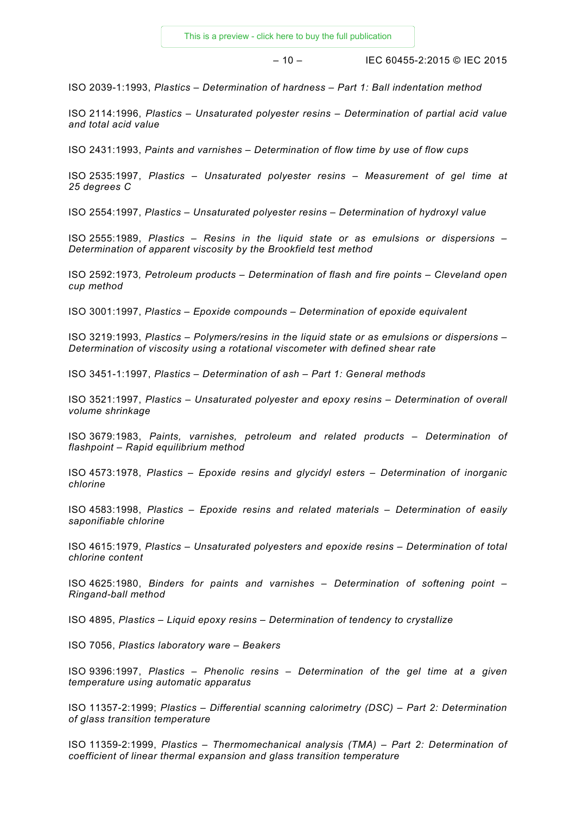– 10 – IEC 60455-2:2015 © IEC 2015

ISO 2039-1:1993, *Plastics – Determination of hardness – Part 1: Ball indentation method*

ISO 2114:1996, *Plastics – Unsaturated polyester resins – Determination of partial acid value and total acid value*

ISO 2431:1993, *Paints and varnishes – Determination of flow time by use of flow cups*

ISO 2535:1997, *Plastics – Unsaturated polyester resins – Measurement of gel time at 25 degrees C*

ISO 2554:1997, *Plastics – Unsaturated polyester resins – Determination of hydroxyl value*

ISO 2555:1989, *Plastics – Resins in the liquid state or as emulsions or dispersions – Determination of apparent viscosity by the Brookfield test method*

ISO 2592:1973*, Petroleum products – Determination of flash and fire points – Cleveland open cup method*

ISO 3001:1997, *Plastics – Epoxide compounds – Determination of epoxide equivalent*

ISO 3219:1993, *Plastics – Polymers/resins in the liquid state or as emulsions or dispersions – Determination of viscosity using a rotational viscometer with defined shear rate*

ISO 3451-1:1997, *Plastics – Determination of ash – Part 1: General methods*

ISO 3521:1997, *Plastics – Unsaturated polyester and epoxy resins – Determination of overall volume shrinkage*

ISO 3679:1983, *Paints, varnishes, petroleum and related products – Determination of flashpoint – Rapid equilibrium method*

ISO 4573:1978, *Plastics – Epoxide resins and glycidyl esters – Determination of inorganic chlorine*

ISO 4583:1998, *Plastics – Epoxide resins and related materials – Determination of easily saponifiable chlorine*

ISO 4615:1979, *Plastics – Unsaturated polyesters and epoxide resins – Determination of total chlorine content*

ISO 4625:1980, *Binders for paints and varnishes – Determination of softening point – Ringand-ball method*

ISO 4895, *Plastics – Liquid epoxy resins – Determination of tendency to crystallize*

ISO 7056, *Plastics laboratory ware – Beakers*

ISO 9396:1997, *Plastics – Phenolic resins – Determination of the gel time at a given temperature using automatic apparatus*

ISO 11357-2:1999; *Plastics – Differential scanning calorimetry (DSC) – Part 2: Determination of glass transition temperature*

ISO 11359-2:1999, *Plastics – Thermomechanical analysis (TMA) – Part 2: Determination of coefficient of linear thermal expansion and glass transition temperature*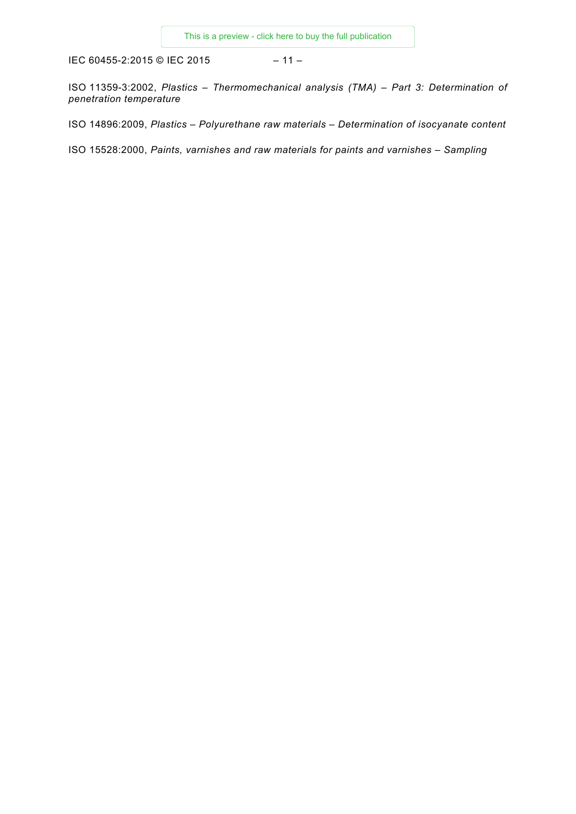IEC 60455-2:2015 © IEC 2015 – 11 –

ISO 11359-3:2002, *Plastics – Thermomechanical analysis (TMA) – Part 3: Determination of penetration temperature*

ISO 14896:2009, *Plastics – Polyurethane raw materials – Determination of isocyanate content*

<span id="page-10-2"></span><span id="page-10-1"></span><span id="page-10-0"></span>ISO 15528:2000, *Paints, varnishes and raw materials for paints and varnishes – Sampling*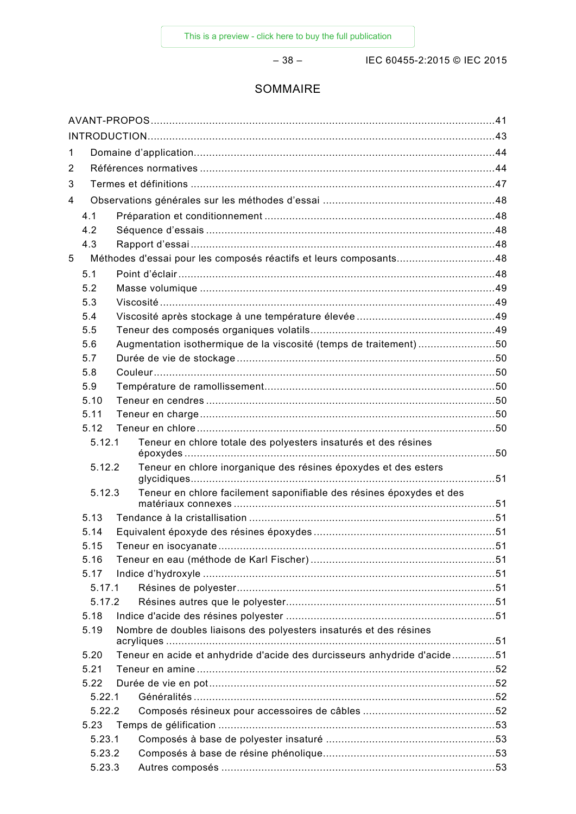$-38-$ 

IEC 60455-2:2015 © IEC 2015

# SOMMAIRE

| 1 |        |                                                                          |     |  |  |
|---|--------|--------------------------------------------------------------------------|-----|--|--|
| 2 |        |                                                                          |     |  |  |
| 3 |        |                                                                          |     |  |  |
| 4 |        |                                                                          |     |  |  |
|   | 4.1    |                                                                          |     |  |  |
|   | 4.2    |                                                                          |     |  |  |
|   | 4.3    |                                                                          |     |  |  |
| 5 |        | Méthodes d'essai pour les composés réactifs et leurs composants48        |     |  |  |
|   | 5.1    |                                                                          |     |  |  |
|   | 5.2    |                                                                          |     |  |  |
|   | 5.3    |                                                                          |     |  |  |
|   | 5.4    |                                                                          |     |  |  |
|   | 5.5    |                                                                          |     |  |  |
|   | 5.6    | Augmentation isothermique de la viscosité (temps de traitement) 50       |     |  |  |
|   | 5.7    |                                                                          |     |  |  |
|   | 5.8    |                                                                          |     |  |  |
|   | 5.9    |                                                                          |     |  |  |
|   | 5.10   |                                                                          |     |  |  |
|   | 5.11   |                                                                          |     |  |  |
|   | 5.12   |                                                                          |     |  |  |
|   | 5.12.1 | Teneur en chlore totale des polyesters insaturés et des résines          |     |  |  |
|   | 5.12.2 | Teneur en chlore inorganique des résines époxydes et des esters          |     |  |  |
|   | 5.12.3 | Teneur en chlore facilement saponifiable des résines époxydes et des     |     |  |  |
|   | 5.13   |                                                                          |     |  |  |
|   | 5.14   |                                                                          |     |  |  |
|   | 5.15   | Teneur en isocyanate                                                     | .51 |  |  |
|   | 5.16   |                                                                          |     |  |  |
|   | 5.17   |                                                                          |     |  |  |
|   | 5.17.1 |                                                                          |     |  |  |
|   | 5.17.2 |                                                                          |     |  |  |
|   | 5.18   |                                                                          |     |  |  |
|   | 5.19   | Nombre de doubles liaisons des polyesters insaturés et des résines       |     |  |  |
|   | 5.20   | Teneur en acide et anhydride d'acide des durcisseurs anhydride d'acide51 |     |  |  |
|   | 5.21   |                                                                          |     |  |  |
|   | 5.22   |                                                                          |     |  |  |
|   | 5.22.1 |                                                                          |     |  |  |
|   | 5.22.2 |                                                                          |     |  |  |
|   | 5.23   |                                                                          |     |  |  |
|   | 5.23.1 |                                                                          |     |  |  |
|   | 5.23.2 |                                                                          |     |  |  |
|   | 5.23.3 |                                                                          |     |  |  |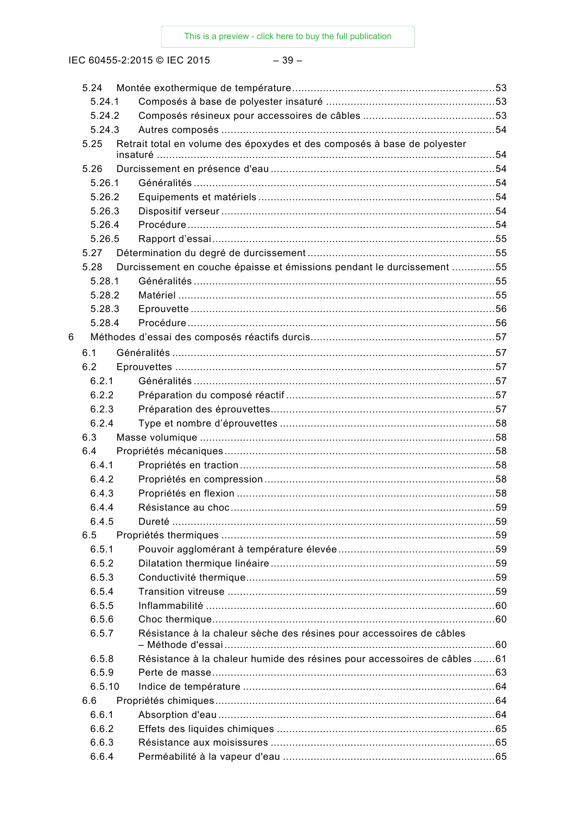IEC 60455-2:2015 © IEC 2015

|   | 5.24             |  |                                                                          |  |
|---|------------------|--|--------------------------------------------------------------------------|--|
|   | 5.24.1           |  |                                                                          |  |
|   | 5.24.2           |  |                                                                          |  |
|   | 5.24.3           |  |                                                                          |  |
|   | 5.25             |  | Retrait total en volume des époxydes et des composés à base de polyester |  |
|   |                  |  |                                                                          |  |
|   | 5.26             |  |                                                                          |  |
|   | 5.26.1           |  |                                                                          |  |
|   | 5.26.2           |  |                                                                          |  |
|   | 5.26.3<br>5.26.4 |  |                                                                          |  |
|   | 5.26.5           |  |                                                                          |  |
|   | 5.27             |  |                                                                          |  |
|   | 5.28             |  |                                                                          |  |
|   | 5.28.1           |  | Durcissement en couche épaisse et émissions pendant le durcissement 55   |  |
|   |                  |  |                                                                          |  |
|   | 5.28.2           |  |                                                                          |  |
|   | 5.28.3           |  |                                                                          |  |
|   | 5.28.4           |  |                                                                          |  |
| 6 |                  |  |                                                                          |  |
|   | 6.1              |  |                                                                          |  |
|   | 6.2              |  |                                                                          |  |
|   | 6.2.1            |  |                                                                          |  |
|   | 6.2.2            |  |                                                                          |  |
|   | 6.2.3            |  |                                                                          |  |
|   | 6.2.4            |  |                                                                          |  |
|   | 6.3              |  |                                                                          |  |
|   | 6.4              |  |                                                                          |  |
|   | 6.4.1            |  |                                                                          |  |
|   | 6.4.2            |  |                                                                          |  |
|   | 6.4.3            |  |                                                                          |  |
|   | 6.4.4            |  | Résistance au choc.                                                      |  |
|   | 6.4.5            |  |                                                                          |  |
|   | 6.5              |  |                                                                          |  |
|   | 6.5.1            |  |                                                                          |  |
|   | 6.5.2            |  |                                                                          |  |
|   | 6.5.3            |  |                                                                          |  |
|   | 6.5.4            |  |                                                                          |  |
|   | 6.5.5            |  |                                                                          |  |
|   | 6.5.6            |  |                                                                          |  |
|   | 6.5.7            |  | Résistance à la chaleur sèche des résines pour accessoires de câbles     |  |
|   | 6.5.8            |  | Résistance à la chaleur humide des résines pour accessoires de câbles 61 |  |
|   | 6.5.9            |  |                                                                          |  |
|   | 6.5.10           |  |                                                                          |  |
|   | 6.6              |  |                                                                          |  |
|   | 6.6.1            |  |                                                                          |  |
|   | 6.6.2            |  |                                                                          |  |
|   | 6.6.3            |  |                                                                          |  |
|   | 6.6.4            |  |                                                                          |  |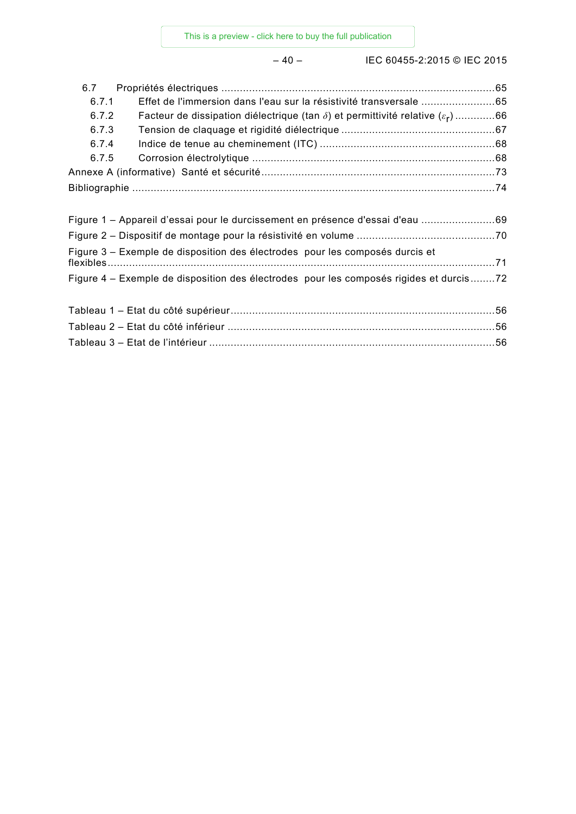– 40 – IEC 60455-2:2015 © IEC 2015

| 6.7   |                                                                                                    |  |
|-------|----------------------------------------------------------------------------------------------------|--|
| 6.7.1 | Effet de l'immersion dans l'eau sur la résistivité transversale 65                                 |  |
| 6.7.2 | Facteur de dissipation diélectrique (tan $\delta$ ) et permittivité relative ( $\varepsilon_r$ )66 |  |
| 6.7.3 |                                                                                                    |  |
| 6.7.4 |                                                                                                    |  |
| 6.7.5 |                                                                                                    |  |
|       |                                                                                                    |  |
|       |                                                                                                    |  |
|       |                                                                                                    |  |
|       | Figure 1 - Appareil d'essai pour le durcissement en présence d'essai d'eau 69                      |  |
|       |                                                                                                    |  |
|       | Figure 3 - Exemple de disposition des électrodes pour les composés durcis et                       |  |
|       |                                                                                                    |  |
|       | Figure 4 – Exemple de disposition des électrodes pour les composés rigides et durcis72             |  |
|       |                                                                                                    |  |
|       |                                                                                                    |  |
|       |                                                                                                    |  |
|       |                                                                                                    |  |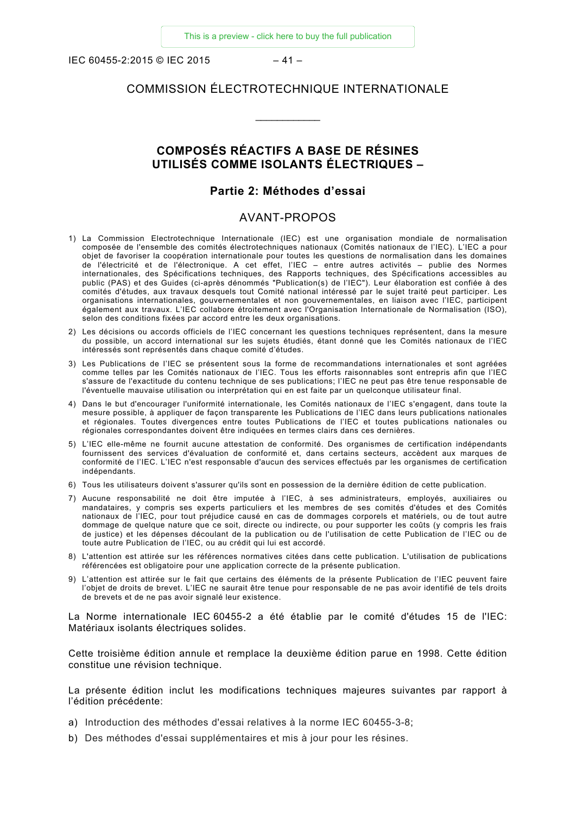IEC 60455-2:2015 © IEC 2015 – 41 –

# COMMISSION ÉLECTROTECHNIQUE INTERNATIONALE

\_\_\_\_\_\_\_\_\_\_\_\_

# **COMPOSÉS RÉACTIFS A BASE DE RÉSINES UTILISÉS COMME ISOLANTS ÉLECTRIQUES –**

# **Partie 2: Méthodes d'essai**

### AVANT-PROPOS

- <span id="page-14-0"></span>1) La Commission Electrotechnique Internationale (IEC) est une organisation mondiale de normalisation composée de l'ensemble des comités électrotechniques nationaux (Comités nationaux de l'IEC). L'IEC a pour objet de favoriser la coopération internationale pour toutes les questions de normalisation dans les domaines de l'électricité et de l'électronique. A cet effet, l'IEC – entre autres activités – publie des Normes internationales, des Spécifications techniques, des Rapports techniques, des Spécifications accessibles au public (PAS) et des Guides (ci-après dénommés "Publication(s) de l'IEC"). Leur élaboration est confiée à des comités d'études, aux travaux desquels tout Comité national intéressé par le sujet traité peut participer. Les organisations internationales, gouvernementales et non gouvernementales, en liaison avec l'IEC, participent également aux travaux. L'IEC collabore étroitement avec l'Organisation Internationale de Normalisation (ISO), selon des conditions fixées par accord entre les deux organisations.
- 2) Les décisions ou accords officiels de l'IEC concernant les questions techniques représentent, dans la mesure du possible, un accord international sur les sujets étudiés, étant donné que les Comités nationaux de l'IEC intéressés sont représentés dans chaque comité d'études.
- 3) Les Publications de l'IEC se présentent sous la forme de recommandations internationales et sont agréées comme telles par les Comités nationaux de l'IEC. Tous les efforts raisonnables sont entrepris afin que l'IEC s'assure de l'exactitude du contenu technique de ses publications; l'IEC ne peut pas être tenue responsable de l'éventuelle mauvaise utilisation ou interprétation qui en est faite par un quelconque utilisateur final.
- 4) Dans le but d'encourager l'uniformité internationale, les Comités nationaux de l'IEC s'engagent, dans toute la mesure possible, à appliquer de façon transparente les Publications de l'IEC dans leurs publications nationales et régionales. Toutes divergences entre toutes Publications de l'IEC et toutes publications nationales ou régionales correspondantes doivent être indiquées en termes clairs dans ces dernières.
- 5) L'IEC elle-même ne fournit aucune attestation de conformité. Des organismes de certification indépendants fournissent des services d'évaluation de conformité et, dans certains secteurs, accèdent aux marques de conformité de l'IEC. L'IEC n'est responsable d'aucun des services effectués par les organismes de certification indépendants.
- 6) Tous les utilisateurs doivent s'assurer qu'ils sont en possession de la dernière édition de cette publication.
- 7) Aucune responsabilité ne doit être imputée à l'IEC, à ses administrateurs, employés, auxiliaires ou mandataires, y compris ses experts particuliers et les membres de ses comités d'études et des Comités nationaux de l'IEC, pour tout préjudice causé en cas de dommages corporels et matériels, ou de tout autre dommage de quelque nature que ce soit, directe ou indirecte, ou pour supporter les coûts (y compris les frais de justice) et les dépenses découlant de la publication ou de l'utilisation de cette Publication de l'IEC ou de toute autre Publication de l'IEC, ou au crédit qui lui est accordé.
- 8) L'attention est attirée sur les références normatives citées dans cette publication. L'utilisation de publications référencées est obligatoire pour une application correcte de la présente publication.
- 9) L'attention est attirée sur le fait que certains des éléments de la présente Publication de l'IEC peuvent faire l'objet de droits de brevet. L'IEC ne saurait être tenue pour responsable de ne pas avoir identifié de tels droits de brevets et de ne pas avoir signalé leur existence.

La Norme internationale IEC 60455-2 a été établie par le comité d'études 15 de l'IEC: Matériaux isolants électriques solides.

Cette troisième édition annule et remplace la deuxième édition parue en 1998. Cette édition constitue une révision technique.

La présente édition inclut les modifications techniques majeures suivantes par rapport à l'édition précédente:

- a) Introduction des méthodes d'essai relatives à la norme IEC 60455-3-8;
- b) Des méthodes d'essai supplémentaires et mis à jour pour les résines.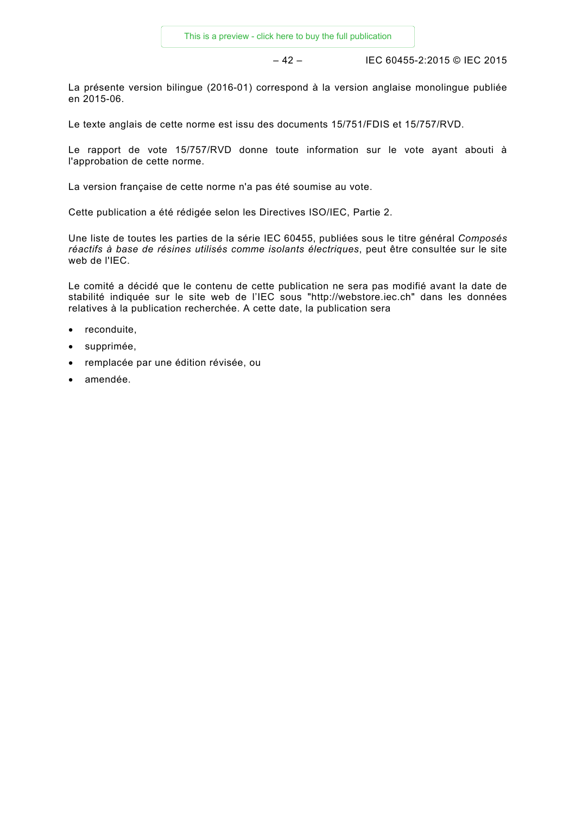– 42 – IEC 60455-2:2015 © IEC 2015

La présente version bilingue (2016-01) correspond à la version anglaise monolingue publiée en 2015-06.

Le texte anglais de cette norme est issu des documents 15/751/FDIS et 15/757/RVD.

Le rapport de vote 15/757/RVD donne toute information sur le vote ayant abouti à l'approbation de cette norme.

La version française de cette norme n'a pas été soumise au vote.

Cette publication a été rédigée selon les Directives ISO/IEC, Partie 2.

Une liste de toutes les parties de la série IEC 60455, publiées sous le titre général *Composés réactifs à base de résines utilisés comme isolants électriques*, peut être consultée sur le site web de l'IEC.

Le comité a décidé que le contenu de cette publication ne sera pas modifié avant la date de stabilité indiquée sur le site web de l'IEC sous "http://webstore.iec.ch" dans les données relatives à la publication recherchée. A cette date, la publication sera

- reconduite,
- supprimée,
- remplacée par une édition révisée, ou
- amendée.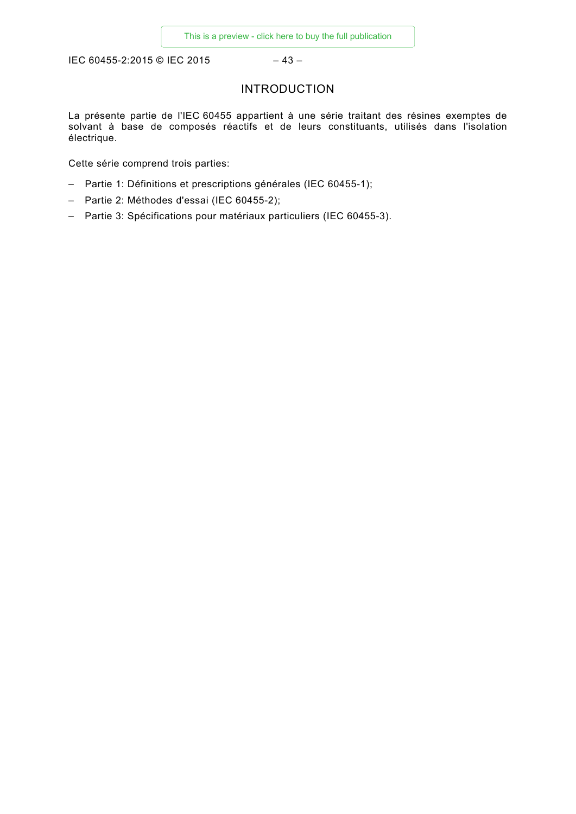<span id="page-16-0"></span>IEC 60455-2:2015 © IEC 2015 – 43 –

# INTRODUCTION

La présente partie de l'IEC 60455 appartient à une série traitant des résines exemptes de solvant à base de composés réactifs et de leurs constituants, utilisés dans l'isolation électrique.

Cette série comprend trois parties:

- Partie 1: Définitions et prescriptions générales (IEC 60455-1);
- Partie 2: Méthodes d'essai (IEC 60455-2);
- Partie 3: Spécifications pour matériaux particuliers (IEC 60455-3).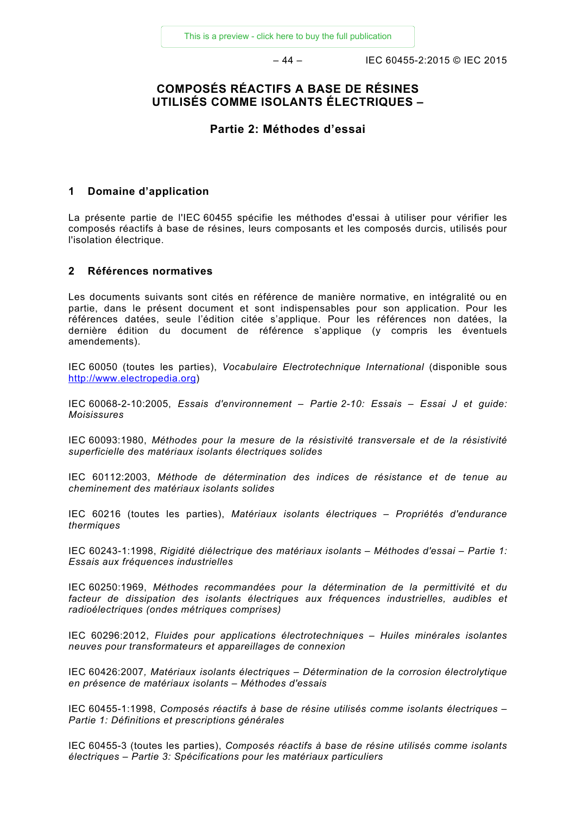$-44 -$  IEC 60455-2:2015 © IEC 2015

# **COMPOSÉS RÉACTIFS A BASE DE RÉSINES UTILISÉS COMME ISOLANTS ÉLECTRIQUES –**

# **Partie 2: Méthodes d'essai**

#### <span id="page-17-0"></span>**1 Domaine d'application**

La présente partie de l'IEC 60455 spécifie les méthodes d'essai à utiliser pour vérifier les composés réactifs à base de résines, leurs composants et les composés durcis, utilisés pour l'isolation électrique.

#### <span id="page-17-1"></span>**2 Références normatives**

Les documents suivants sont cités en référence de manière normative, en intégralité ou en partie, dans le présent document et sont indispensables pour son application. Pour les références datées, seule l'édition citée s'applique. Pour les références non datées, la dernière édition du document de référence s'applique (y compris les éventuels amendements).

IEC 60050 (toutes les parties), *Vocabulaire Electrotechnique International* (disponible sous [http://www.electropedia.org\)](http://www.electropedia.org/)

IEC 60068-2-10:2005, *Essais d'environnement – Partie 2-10: Essais – Essai J et guide: Moisissures*

IEC 60093:1980, *Méthodes pour la mesure de la résistivité transversale et de la résistivité superficielle des matériaux isolants électriques solides*

IEC 60112:2003, *Méthode de détermination des indices de résistance et de tenue au cheminement des matériaux isolants solides*

IEC 60216 (toutes les parties), *Matériaux isolants électriques – Propriétés d'endurance thermiques*

IEC 60243-1:1998, *Rigidité diélectrique des matériaux isolants – Méthodes d'essai – Partie 1: Essais aux fréquences industrielles*

IEC 60250:1969, *Méthodes recommandées pour la détermination de la permittivité et du*  facteur de dissipation des isolants électriques aux fréquences industrielles, audibles et *radioélectriques (ondes métriques comprises)*

IEC 60296:2012, *Fluides pour applications électrotechniques – Huiles minérales isolantes neuves pour transformateurs et appareillages de connexion*

IEC 60426:2007*, Matériaux isolants électriques – Détermination de la corrosion électrolytique en présence de matériaux isolants – Méthodes d'essais*

IEC 60455-1:1998, *Composés réactifs à base de résine utilisés comme isolants électriques – Partie 1: Définitions et prescriptions générales*

IEC 60455-3 (toutes les parties), *Composés réactifs à base de résine utilisés comme isolants électriques – Partie 3: Spécifications pour les matériaux particuliers*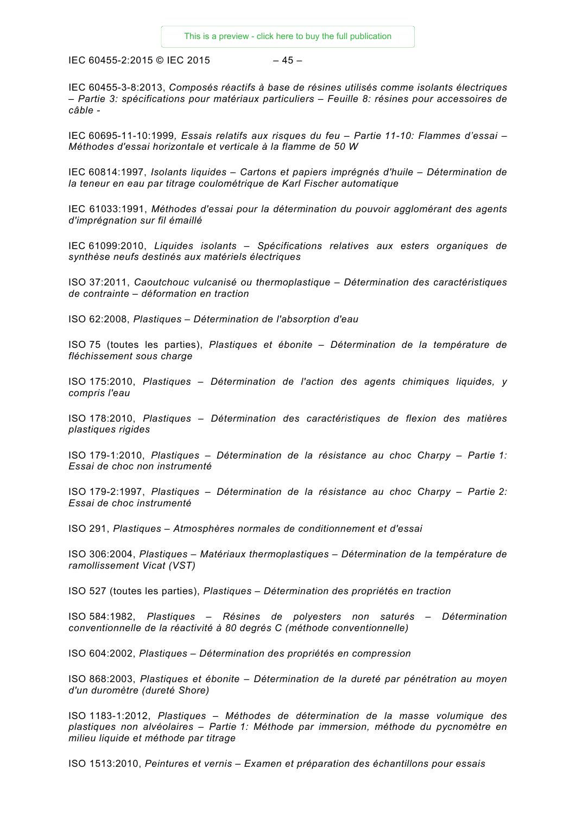IEC 60455-2:2015 © IEC 2015 – 45 –

IEC 60455-3-8:2013, *Composés réactifs à base de résines utilisés comme isolants électriques – Partie 3: spécifications pour matériaux particuliers – Feuille 8: résines pour accessoires de câble -* 

IEC 60695-11-10:1999*, Essais relatifs aux risques du feu – Partie 11-10: Flammes d'essai – Méthodes d'essai horizontale et verticale à la flamme de 50 W*

IEC 60814:1997, *Isolants liquides – Cartons et papiers imprégnés d'huile – Détermination de la teneur en eau par titrage coulométrique de Karl Fischer automatique*

IEC 61033:1991, *Méthodes d'essai pour la détermination du pouvoir agglomérant des agents d'imprégnation sur fil émaillé*

IEC 61099:2010, *Liquides isolants – Spécifications relatives aux esters organiques de synthèse neufs destinés aux matériels électriques*

ISO 37:2011, *Caoutchouc vulcanisé ou thermoplastique – Détermination des caractéristiques de contrainte – déformation en traction*

ISO 62:2008, *Plastiques – Détermination de l'absorption d'eau*

ISO 75 (toutes les parties), *Plastiques et ébonite – Détermination de la température de fléchissement sous charge*

ISO 175:2010, *Plastiques – Détermination de l'action des agents chimiques liquides, y compris l'eau*

ISO 178:2010, *Plastiques – Détermination des caractéristiques de flexion des matières plastiques rigides*

ISO 179-1:2010, *Plastiques – Détermination de la résistance au choc Charpy – Partie 1: Essai de choc non instrumenté*

ISO 179-2:1997, *Plastiques – Détermination de la résistance au choc Charpy – Partie 2: Essai de choc instrumenté*

ISO 291, *Plastiques – Atmosphères normales de conditionnement et d'essai*

ISO 306:2004, *Plastiques – Matériaux thermoplastiques – Détermination de la température de ramollissement Vicat (VST)*

ISO 527 (toutes les parties), *Plastiques – Détermination des propriétés en traction*

ISO 584:1982, *Plastiques – Résines de polyesters non saturés – Détermination conventionnelle de la réactivité à 80 degrés C (méthode conventionnelle)*

ISO 604:2002, *Plastiques – Détermination des propriétés en compression*

ISO 868:2003, *Plastiques et ébonite – Détermination de la dureté par pénétration au moyen d'un duromètre (dureté Shore)*

ISO 1183-1:2012, *Plastiques – Méthodes de détermination de la masse volumique des plastiques non alvéolaires – Partie 1: Méthode par immersion, méthode du pycnomètre en milieu liquide et méthode par titrage*

ISO 1513:2010, *Peintures et vernis – Examen et préparation des échantillons pour essais*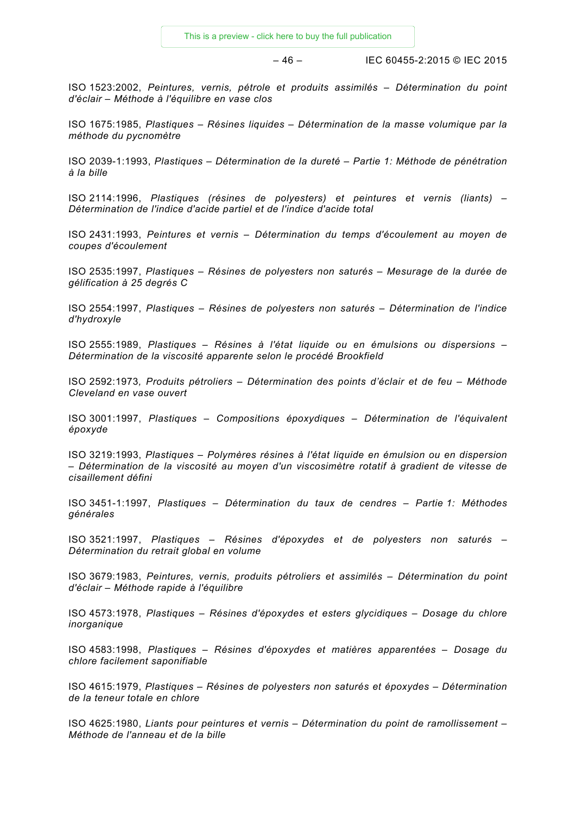– 46 – IEC 60455-2:2015 © IEC 2015

ISO 1523:2002, *Peintures, vernis, pétrole et produits assimilés – Détermination du point d'éclair – Méthode à l'équilibre en vase clos*

ISO 1675:1985, *Plastiques – Résines liquides – Détermination de la masse volumique par la méthode du pycnomètre*

ISO 2039-1:1993, *Plastiques – Détermination de la dureté – Partie 1: Méthode de pénétration à la bille*

ISO 2114:1996, *Plastiques (résines de polyesters) et peintures et vernis (liants) – Détermination de l'indice d'acide partiel et de l'indice d'acide total*

ISO 2431:1993, *Peintures et vernis – Détermination du temps d'écoulement au moyen de coupes d'écoulement*

ISO 2535:1997, *Plastiques – Résines de polyesters non saturés – Mesurage de la durée de gélification à 25 degrés C*

ISO 2554:1997, *Plastiques – Résines de polyesters non saturés – Détermination de l'indice d'hydroxyle*

ISO 2555:1989, *Plastiques – Résines à l'état liquide ou en émulsions ou dispersions – Détermination de la viscosité apparente selon le procédé Brookfield*

ISO 2592:1973*, Produits pétroliers – Détermination des points d'éclair et de feu – Méthode Cleveland en vase ouvert*

ISO 3001:1997, *Plastiques – Compositions époxydiques – Détermination de l'équivalent époxyde*

ISO 3219:1993, *Plastiques – Polymères résines à l'état liquide en émulsion ou en dispersion – Détermination de la viscosité au moyen d'un viscosimètre rotatif à gradient de vitesse de cisaillement défini*

ISO 3451-1:1997, *Plastiques – Détermination du taux de cendres – Partie 1: Méthodes générales*

ISO 3521:1997, *Plastiques – Résines d'époxydes et de polyesters non saturés – Détermination du retrait global en volume*

ISO 3679:1983, *Peintures, vernis, produits pétroliers et assimilés – Détermination du point d'éclair – Méthode rapide à l'équilibre*

ISO 4573:1978, *Plastiques – Résines d'époxydes et esters glycidiques – Dosage du chlore inorganique*

ISO 4583:1998, *Plastiques – Résines d'époxydes et matières apparentées – Dosage du chlore facilement saponifiable*

ISO 4615:1979, *Plastiques – Résines de polyesters non saturés et époxydes – Détermination de la teneur totale en chlore*

ISO 4625:1980, *Liants pour peintures et vernis – Détermination du point de ramollissement – Méthode de l'anneau et de la bille*